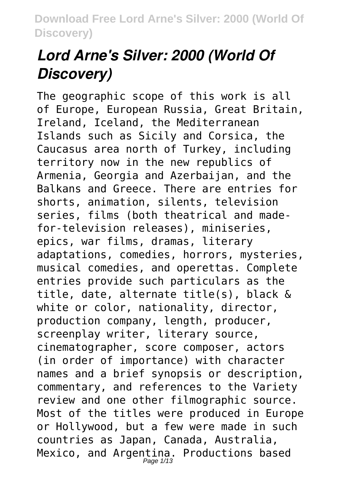# *Lord Arne's Silver: 2000 (World Of Discovery)*

The geographic scope of this work is all of Europe, European Russia, Great Britain, Ireland, Iceland, the Mediterranean Islands such as Sicily and Corsica, the Caucasus area north of Turkey, including territory now in the new republics of Armenia, Georgia and Azerbaijan, and the Balkans and Greece. There are entries for shorts, animation, silents, television series, films (both theatrical and madefor-television releases), miniseries, epics, war films, dramas, literary adaptations, comedies, horrors, mysteries, musical comedies, and operettas. Complete entries provide such particulars as the title, date, alternate title(s), black & white or color, nationality, director, production company, length, producer, screenplay writer, literary source, cinematographer, score composer, actors (in order of importance) with character names and a brief synopsis or description, commentary, and references to the Variety review and one other filmographic source. Most of the titles were produced in Europe or Hollywood, but a few were made in such countries as Japan, Canada, Australia, Mexico, and Argentina. Productions based<br>Page 1/13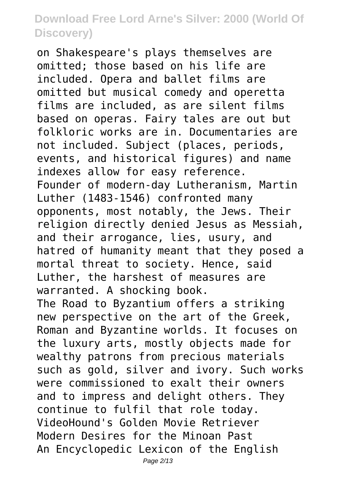on Shakespeare's plays themselves are omitted; those based on his life are included. Opera and ballet films are omitted but musical comedy and operetta films are included, as are silent films based on operas. Fairy tales are out but folkloric works are in. Documentaries are not included. Subject (places, periods, events, and historical figures) and name indexes allow for easy reference. Founder of modern-day Lutheranism, Martin Luther (1483-1546) confronted many opponents, most notably, the Jews. Their religion directly denied Jesus as Messiah, and their arrogance, lies, usury, and hatred of humanity meant that they posed a mortal threat to society. Hence, said Luther, the harshest of measures are warranted. A shocking book. The Road to Byzantium offers a striking new perspective on the art of the Greek, Roman and Byzantine worlds. It focuses on the luxury arts, mostly objects made for wealthy patrons from precious materials such as gold, silver and ivory. Such works were commissioned to exalt their owners and to impress and delight others. They continue to fulfil that role today. VideoHound's Golden Movie Retriever Modern Desires for the Minoan Past An Encyclopedic Lexicon of the English

Page 2/13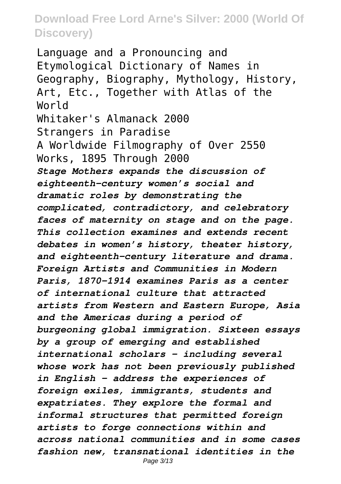Language and a Pronouncing and Etymological Dictionary of Names in Geography, Biography, Mythology, History, Art, Etc., Together with Atlas of the World Whitaker's Almanack 2000 Strangers in Paradise A Worldwide Filmography of Over 2550 Works, 1895 Through 2000 *Stage Mothers expands the discussion of eighteenth-century women's social and dramatic roles by demonstrating the complicated, contradictory, and celebratory faces of maternity on stage and on the page. This collection examines and extends recent debates in women's history, theater history, and eighteenth-century literature and drama. Foreign Artists and Communities in Modern Paris, 1870-1914 examines Paris as a center of international culture that attracted artists from Western and Eastern Europe, Asia and the Americas during a period of burgeoning global immigration. Sixteen essays by a group of emerging and established international scholars - including several whose work has not been previously published in English - address the experiences of foreign exiles, immigrants, students and expatriates. They explore the formal and informal structures that permitted foreign artists to forge connections within and across national communities and in some cases fashion new, transnational identities in the* Page 3/13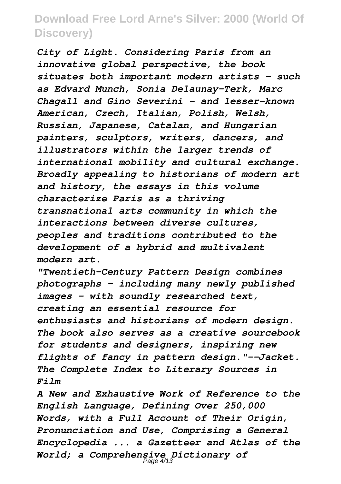*City of Light. Considering Paris from an innovative global perspective, the book situates both important modern artists - such as Edvard Munch, Sonia Delaunay-Terk, Marc Chagall and Gino Severini - and lesser-known American, Czech, Italian, Polish, Welsh, Russian, Japanese, Catalan, and Hungarian painters, sculptors, writers, dancers, and illustrators within the larger trends of international mobility and cultural exchange. Broadly appealing to historians of modern art and history, the essays in this volume characterize Paris as a thriving transnational arts community in which the interactions between diverse cultures, peoples and traditions contributed to the development of a hybrid and multivalent modern art.*

*"Twentieth-Century Pattern Design combines photographs - including many newly published images - with soundly researched text, creating an essential resource for enthusiasts and historians of modern design. The book also serves as a creative sourcebook for students and designers, inspiring new flights of fancy in pattern design."--Jacket. The Complete Index to Literary Sources in Film*

*A New and Exhaustive Work of Reference to the English Language, Defining Over 250,000 Words, with a Full Account of Their Origin, Pronunciation and Use, Comprising a General Encyclopedia ... a Gazetteer and Atlas of the World; a Comprehensive Dictionary of* Page 4/13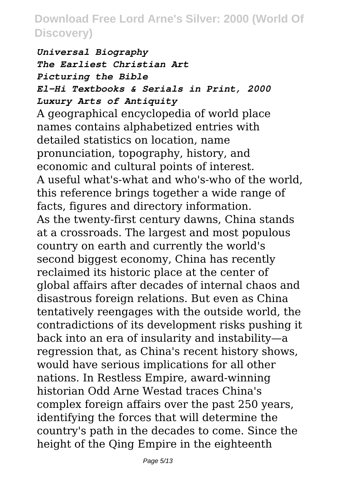*Universal Biography The Earliest Christian Art Picturing the Bible El-Hi Textbooks & Serials in Print, 2000 Luxury Arts of Antiquity* A geographical encyclopedia of world place names contains alphabetized entries with detailed statistics on location, name pronunciation, topography, history, and economic and cultural points of interest. A useful what's-what and who's-who of the world, this reference brings together a wide range of facts, figures and directory information. As the twenty-first century dawns, China stands at a crossroads. The largest and most populous country on earth and currently the world's second biggest economy, China has recently reclaimed its historic place at the center of global affairs after decades of internal chaos and disastrous foreign relations. But even as China tentatively reengages with the outside world, the contradictions of its development risks pushing it back into an era of insularity and instability—a regression that, as China's recent history shows, would have serious implications for all other nations. In Restless Empire, award-winning historian Odd Arne Westad traces China's complex foreign affairs over the past 250 years, identifying the forces that will determine the country's path in the decades to come. Since the height of the Qing Empire in the eighteenth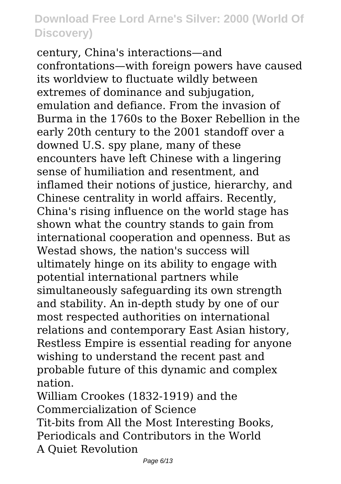century, China's interactions—and confrontations—with foreign powers have caused its worldview to fluctuate wildly between extremes of dominance and subjugation, emulation and defiance. From the invasion of Burma in the 1760s to the Boxer Rebellion in the early 20th century to the 2001 standoff over a downed U.S. spy plane, many of these encounters have left Chinese with a lingering sense of humiliation and resentment, and inflamed their notions of justice, hierarchy, and Chinese centrality in world affairs. Recently, China's rising influence on the world stage has shown what the country stands to gain from international cooperation and openness. But as Westad shows, the nation's success will ultimately hinge on its ability to engage with potential international partners while simultaneously safeguarding its own strength and stability. An in-depth study by one of our most respected authorities on international relations and contemporary East Asian history, Restless Empire is essential reading for anyone wishing to understand the recent past and probable future of this dynamic and complex nation.

William Crookes (1832-1919) and the Commercialization of Science Tit-bits from All the Most Interesting Books, Periodicals and Contributors in the World A Quiet Revolution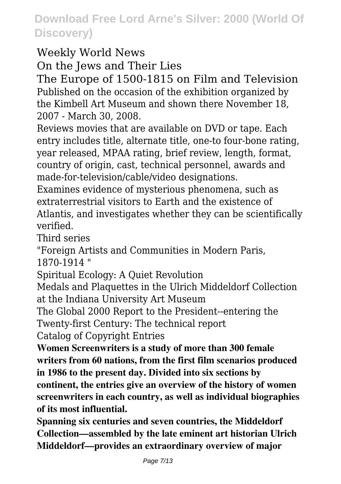#### Weekly World News

On the Jews and Their Lies

The Europe of 1500-1815 on Film and Television Published on the occasion of the exhibition organized by the Kimbell Art Museum and shown there November 18, 2007 - March 30, 2008.

Reviews movies that are available on DVD or tape. Each entry includes title, alternate title, one-to four-bone rating, year released, MPAA rating, brief review, length, format, country of origin, cast, technical personnel, awards and made-for-television/cable/video designations.

Examines evidence of mysterious phenomena, such as extraterrestrial visitors to Earth and the existence of Atlantis, and investigates whether they can be scientifically verified.

Third series

"Foreign Artists and Communities in Modern Paris, 1870-1914 "

Spiritual Ecology: A Quiet Revolution

Medals and Plaquettes in the Ulrich Middeldorf Collection at the Indiana University Art Museum

The Global 2000 Report to the President--entering the Twenty-first Century: The technical report

Catalog of Copyright Entries

**Women Screenwriters is a study of more than 300 female writers from 60 nations, from the first film scenarios produced in 1986 to the present day. Divided into six sections by continent, the entries give an overview of the history of women screenwriters in each country, as well as individual biographies of its most influential.**

**Spanning six centuries and seven countries, the Middeldorf Collection—assembled by the late eminent art historian Ulrich Middeldorf—provides an extraordinary overview of major**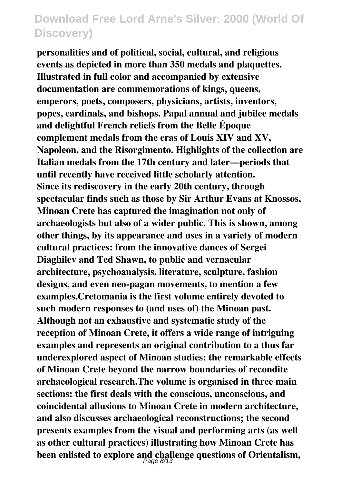**personalities and of political, social, cultural, and religious events as depicted in more than 350 medals and plaquettes. Illustrated in full color and accompanied by extensive documentation are commemorations of kings, queens, emperors, poets, composers, physicians, artists, inventors, popes, cardinals, and bishops. Papal annual and jubilee medals and delightful French reliefs from the Belle Époque complement medals from the eras of Louis XIV and XV, Napoleon, and the Risorgimento. Highlights of the collection are Italian medals from the 17th century and later—periods that until recently have received little scholarly attention. Since its rediscovery in the early 20th century, through spectacular finds such as those by Sir Arthur Evans at Knossos, Minoan Crete has captured the imagination not only of archaeologists but also of a wider public. This is shown, among other things, by its appearance and uses in a variety of modern cultural practices: from the innovative dances of Sergei Diaghilev and Ted Shawn, to public and vernacular architecture, psychoanalysis, literature, sculpture, fashion designs, and even neo-pagan movements, to mention a few examples.Cretomania is the first volume entirely devoted to such modern responses to (and uses of) the Minoan past. Although not an exhaustive and systematic study of the reception of Minoan Crete, it offers a wide range of intriguing examples and represents an original contribution to a thus far underexplored aspect of Minoan studies: the remarkable effects of Minoan Crete beyond the narrow boundaries of recondite archaeological research.The volume is organised in three main sections: the first deals with the conscious, unconscious, and coincidental allusions to Minoan Crete in modern architecture, and also discusses archaeological reconstructions; the second presents examples from the visual and performing arts (as well as other cultural practices) illustrating how Minoan Crete has been enlisted to explore and challenge questions of Orientalism,** Page 8/13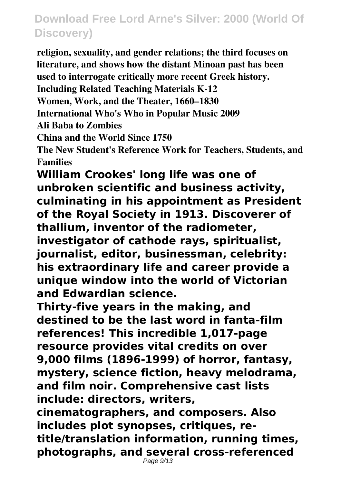**religion, sexuality, and gender relations; the third focuses on literature, and shows how the distant Minoan past has been used to interrogate critically more recent Greek history. Including Related Teaching Materials K-12 Women, Work, and the Theater, 1660–1830 International Who's Who in Popular Music 2009 Ali Baba to Zombies China and the World Since 1750 The New Student's Reference Work for Teachers, Students, and Families William Crookes' long life was one of**

**unbroken scientific and business activity, culminating in his appointment as President of the Royal Society in 1913. Discoverer of thallium, inventor of the radiometer, investigator of cathode rays, spiritualist, journalist, editor, businessman, celebrity: his extraordinary life and career provide a unique window into the world of Victorian and Edwardian science.**

**Thirty-five years in the making, and destined to be the last word in fanta-film references! This incredible 1,017-page resource provides vital credits on over 9,000 films (1896-1999) of horror, fantasy, mystery, science fiction, heavy melodrama, and film noir. Comprehensive cast lists include: directors, writers,**

**cinematographers, and composers. Also includes plot synopses, critiques, retitle/translation information, running times, photographs, and several cross-referenced**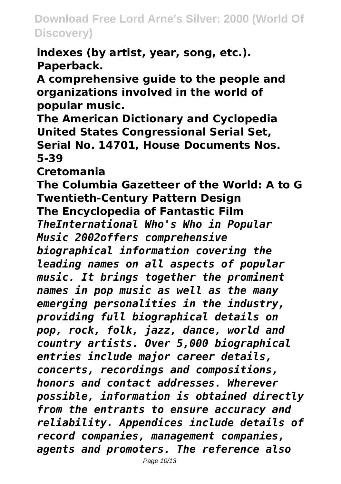**indexes (by artist, year, song, etc.). Paperback.**

**A comprehensive guide to the people and organizations involved in the world of popular music.**

**The American Dictionary and Cyclopedia United States Congressional Serial Set, Serial No. 14701, House Documents Nos. 5-39**

**Cretomania**

**The Columbia Gazetteer of the World: A to G Twentieth-Century Pattern Design The Encyclopedia of Fantastic Film**

*TheInternational Who's Who in Popular Music 2002offers comprehensive*

*biographical information covering the leading names on all aspects of popular music. It brings together the prominent names in pop music as well as the many emerging personalities in the industry, providing full biographical details on pop, rock, folk, jazz, dance, world and country artists. Over 5,000 biographical entries include major career details, concerts, recordings and compositions, honors and contact addresses. Wherever possible, information is obtained directly from the entrants to ensure accuracy and reliability. Appendices include details of record companies, management companies, agents and promoters. The reference also*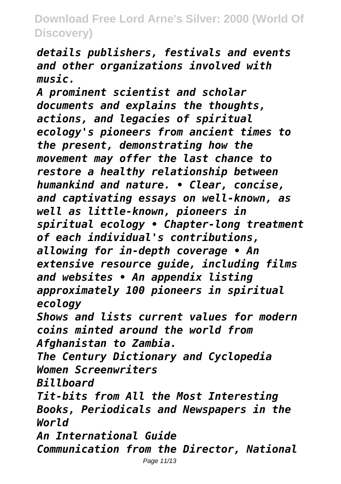*details publishers, festivals and events and other organizations involved with music.*

*A prominent scientist and scholar documents and explains the thoughts, actions, and legacies of spiritual ecology's pioneers from ancient times to the present, demonstrating how the movement may offer the last chance to restore a healthy relationship between humankind and nature. • Clear, concise, and captivating essays on well-known, as well as little-known, pioneers in spiritual ecology • Chapter-long treatment of each individual's contributions, allowing for in-depth coverage • An extensive resource guide, including films and websites • An appendix listing approximately 100 pioneers in spiritual ecology Shows and lists current values for modern coins minted around the world from*

*Afghanistan to Zambia.*

*The Century Dictionary and Cyclopedia Women Screenwriters*

*Billboard*

*Tit-bits from All the Most Interesting Books, Periodicals and Newspapers in the World*

*An International Guide*

*Communication from the Director, National*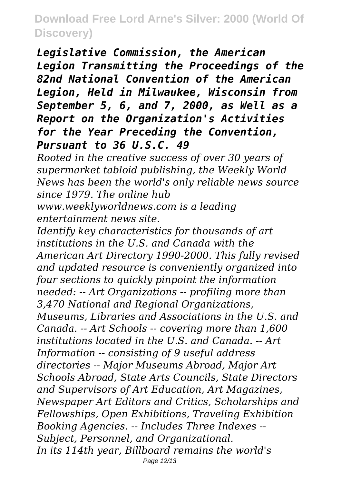*Legislative Commission, the American Legion Transmitting the Proceedings of the 82nd National Convention of the American Legion, Held in Milwaukee, Wisconsin from September 5, 6, and 7, 2000, as Well as a Report on the Organization's Activities for the Year Preceding the Convention, Pursuant to 36 U.S.C. 49*

*Rooted in the creative success of over 30 years of supermarket tabloid publishing, the Weekly World News has been the world's only reliable news source since 1979. The online hub*

*www.weeklyworldnews.com is a leading entertainment news site.*

*Identify key characteristics for thousands of art institutions in the U.S. and Canada with the American Art Directory 1990-2000. This fully revised and updated resource is conveniently organized into four sections to quickly pinpoint the information needed: -- Art Organizations -- profiling more than 3,470 National and Regional Organizations, Museums, Libraries and Associations in the U.S. and Canada. -- Art Schools -- covering more than 1,600 institutions located in the U.S. and Canada. -- Art Information -- consisting of 9 useful address directories -- Major Museums Abroad, Major Art Schools Abroad, State Arts Councils, State Directors and Supervisors of Art Education, Art Magazines, Newspaper Art Editors and Critics, Scholarships and Fellowships, Open Exhibitions, Traveling Exhibition Booking Agencies. -- Includes Three Indexes -- Subject, Personnel, and Organizational. In its 114th year, Billboard remains the world's* Page 12/13